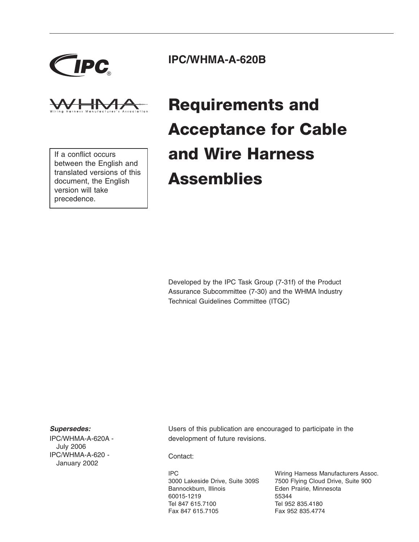



If a conflict occurs between the English and translated versions of this document, the English version will take precedence.

### **IPC/WHMA-A-620B**

# **Requirements and Acceptance for Cable and Wire Harness Assemblies**

Developed by the IPC Task Group (7-31f) of the Product Assurance Subcommittee (7-30) and the WHMA Industry Technical Guidelines Committee (ITGC)

#### *Supersedes:*

IPC/WHMA-A-620A - July 2006 IPC/WHMA-A-620 - January 2002

Users of this publication are encouraged to participate in the development of future revisions.

Contact:

IPC 3000 Lakeside Drive, Suite 309S Bannockburn, Illinois 60015-1219 Tel 847 615.7100 Fax 847 615.7105

Wiring Harness Manufacturers Assoc. 7500 Flying Cloud Drive, Suite 900 Eden Prairie, Minnesota 55344 Tel 952 835.4180 Fax 952 835.4774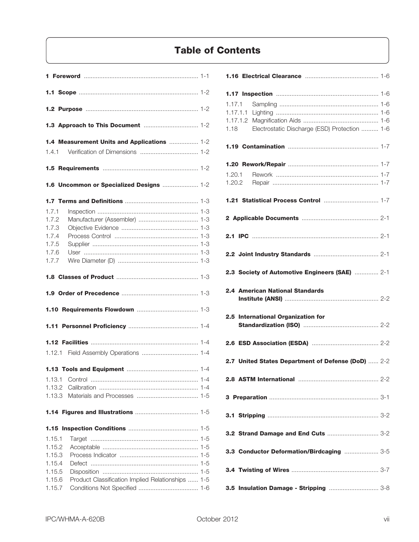### **Table of Contents**

|                  | 1.4 Measurement Units and Applications  1-2       |  |
|------------------|---------------------------------------------------|--|
|                  |                                                   |  |
|                  |                                                   |  |
|                  | 1.6 Uncommon or Specialized Designs  1-2          |  |
|                  |                                                   |  |
| 1.7.1            |                                                   |  |
| 1.7.2            |                                                   |  |
| 1.7.3            |                                                   |  |
|                  |                                                   |  |
| 1.7.4            |                                                   |  |
| 1.7.5            |                                                   |  |
| 1.7.6            |                                                   |  |
| 1.7.7            |                                                   |  |
|                  |                                                   |  |
|                  |                                                   |  |
|                  |                                                   |  |
|                  |                                                   |  |
|                  |                                                   |  |
|                  |                                                   |  |
|                  |                                                   |  |
|                  |                                                   |  |
|                  |                                                   |  |
| 1.13.1           |                                                   |  |
| 1.13.2           |                                                   |  |
| 1.13.3           |                                                   |  |
|                  |                                                   |  |
|                  |                                                   |  |
|                  |                                                   |  |
| 1.15.1           |                                                   |  |
| 1.15.2           |                                                   |  |
| 1.15.3           |                                                   |  |
| 1.15.4           |                                                   |  |
| 1.15.5           |                                                   |  |
| 1.15.6<br>1.15.7 | Product Classification Implied Relationships  1-5 |  |

| 1.17.1 |                                                       |  |
|--------|-------------------------------------------------------|--|
|        | Electrostatic Discharge (ESD) Protection  1-6<br>1.18 |  |
|        |                                                       |  |
|        |                                                       |  |
|        | 1.20.1                                                |  |
|        |                                                       |  |
|        |                                                       |  |
|        |                                                       |  |
|        |                                                       |  |
|        | 2.3 Society of Automotive Engineers (SAE)  2-1        |  |
|        | <b>2.4 American National Standards</b>                |  |
|        | 2.5 International Organization for                    |  |
|        |                                                       |  |
|        | 2.7 United States Department of Defense (DoD)  2-2    |  |
|        |                                                       |  |
|        |                                                       |  |
|        |                                                       |  |
|        | 3.2 Strand Damage and End Cuts  3-2                   |  |
|        | 3.3 Conductor Deformation/Birdcaging  3-5             |  |
|        |                                                       |  |
|        | 3.5 Insulation Damage - Stripping  3-8                |  |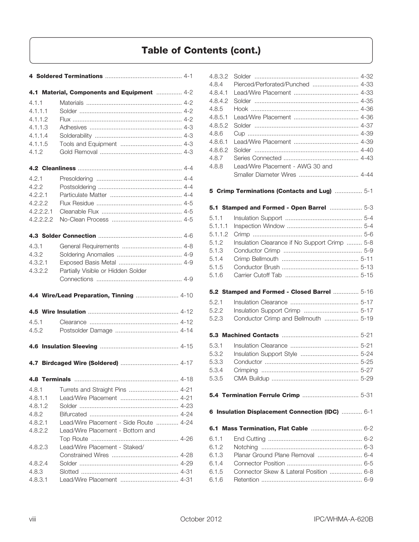|           | 4.1 Material, Components and Equipment  4-2 |  |
|-----------|---------------------------------------------|--|
| 4.1.1     |                                             |  |
| 4.1.1.1   |                                             |  |
| 4.1.1.2   |                                             |  |
| 4.1.1.3   |                                             |  |
| 4.1.1.4   |                                             |  |
| 4.1.1.5   |                                             |  |
| 4.1.2     |                                             |  |
|           |                                             |  |
| 4.2.1     |                                             |  |
| 4.2.2     |                                             |  |
| 4.2.2.1   |                                             |  |
| 4.2.2.2   |                                             |  |
| 4.2.2.2.1 |                                             |  |
| 4.2.2.2.2 |                                             |  |
|           |                                             |  |
|           |                                             |  |
| 4.3.1     |                                             |  |
| 4.3.2     |                                             |  |
| 4.3.2.1   |                                             |  |
| 4.3.2.2   | Partially Visible or Hidden Solder          |  |
|           |                                             |  |
|           | 4.4 Wire/Lead Preparation, Tinning  4-10    |  |
|           |                                             |  |
|           |                                             |  |
| 4.5.1     |                                             |  |
| 4.5.2     |                                             |  |
|           |                                             |  |
|           |                                             |  |
|           |                                             |  |
|           |                                             |  |
| 4.8.1     |                                             |  |
| 4.8.1.1   |                                             |  |
| 4.8.1.2   |                                             |  |
| 4.8.2     |                                             |  |
| 4.8.2.1   | Lead/Wire Placement - Side Route  4-24      |  |
| 4.8.2.2   | Lead/Wire Placement - Bottom and            |  |
|           |                                             |  |
| 4.8.2.3   | Lead/Wire Placement - Staked/               |  |
|           |                                             |  |
| 4.8.2.4   |                                             |  |
| 4.8.3     |                                             |  |

| 4.8.3.2 |                                                 |  |
|---------|-------------------------------------------------|--|
| 4.8.4   | Pierced/Perforated/Punched  4-33                |  |
| 4.8.4.1 |                                                 |  |
| 4.8.4.2 |                                                 |  |
| 4.8.5   |                                                 |  |
|         |                                                 |  |
| 4.8.5.1 |                                                 |  |
| 4.8.5.2 |                                                 |  |
| 4.8.6   |                                                 |  |
| 4.8.6.1 |                                                 |  |
| 4.8.6.2 |                                                 |  |
| 4.8.7   |                                                 |  |
| 4.8.8   | Lead/Wire Placement - AWG 30 and                |  |
|         |                                                 |  |
|         | 5-1 Crimp Terminations (Contacts and Lug)  5-1  |  |
|         |                                                 |  |
|         | 5-1 Stamped and Formed - Open Barrel  5-3       |  |
| 5.1.1   |                                                 |  |
| 5.1.1.1 |                                                 |  |
| 5.1.1.2 |                                                 |  |
| 5.1.2   | Insulation Clearance if No Support Crimp  5-8   |  |
| 5.1.3   |                                                 |  |
| 5.1.4   |                                                 |  |
| 5.1.5   |                                                 |  |
| 5.1.6   |                                                 |  |
|         | 5.2 Stamped and Formed - Closed Barrel  5-16    |  |
|         |                                                 |  |
| 5.2.1   |                                                 |  |
| 5.2.2   |                                                 |  |
| 5.2.3   | Conductor Crimp and Bellmouth  5-19             |  |
|         |                                                 |  |
| 5.3.1   |                                                 |  |
| 5.3.2   |                                                 |  |
| 5.3.3   |                                                 |  |
| 5.3.4   |                                                 |  |
| 5.3.5   |                                                 |  |
|         |                                                 |  |
|         |                                                 |  |
|         | 6 Insulation Displacement Connection (IDC)  6-1 |  |
|         | 6.1 Mass Termination, Flat Cable  6-2           |  |
| 6.1.1   |                                                 |  |
| 6.1.2   |                                                 |  |
| 6.1.3   | Planar Ground Plane Removal  6-4                |  |
|         |                                                 |  |
| 6.1.4   |                                                 |  |
| 6.1.5   | Connector Skew & Lateral Position  6-8          |  |
| 6.1.6   |                                                 |  |
|         |                                                 |  |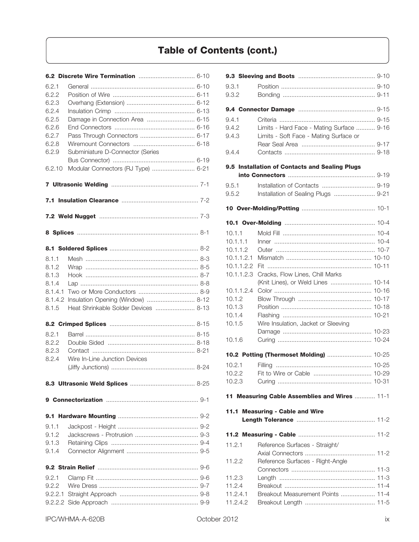| 6.2.1<br>6.2.2<br>6.2.3<br>6.2.4<br>6.2.5<br>6.2.6<br>6.2.7<br>6.2.8<br>6.2.9<br>6.2.10 | Damage in Connection Area  6-15<br>Subminiature D-Connector (Series<br>Modular Connectors (RJ Type)  6-21 |
|-----------------------------------------------------------------------------------------|-----------------------------------------------------------------------------------------------------------|
|                                                                                         |                                                                                                           |
|                                                                                         |                                                                                                           |
|                                                                                         |                                                                                                           |
|                                                                                         |                                                                                                           |
|                                                                                         |                                                                                                           |
| 8.1.1<br>8.1.2<br>8.1.3<br>8.1.4<br>8.1.4.1<br>8.1.4.2<br>8.1.5                         | Insulation Opening (Window)  8-12<br>Heat Shrinkable Solder Devices  8-13                                 |
|                                                                                         |                                                                                                           |
| 8.2.1<br>8.2.2<br>8.2.3<br>8.2.4                                                        | Wire In-Line Junction Devices                                                                             |
|                                                                                         |                                                                                                           |
|                                                                                         |                                                                                                           |
|                                                                                         |                                                                                                           |
| 9.1.1<br>9.1.2<br>9.1.3<br>9.1.4                                                        |                                                                                                           |
|                                                                                         |                                                                                                           |
| 9.2.1<br>9.2.2<br>9.2.2.1                                                               |                                                                                                           |

| 9.3.1      |                                                |  |
|------------|------------------------------------------------|--|
| 9.3.2      |                                                |  |
|            |                                                |  |
| 9.4.1      |                                                |  |
| 9.4.2      | Limits - Hard Face - Mating Surface  9-16      |  |
| 9.4.3      | Limits - Soft Face - Mating Surface or         |  |
|            |                                                |  |
| 9.4.4      |                                                |  |
|            | 9.5 Installation of Contacts and Sealing Plugs |  |
|            |                                                |  |
| 9.5.1      |                                                |  |
| 9.5.2      | Installation of Sealing Plugs  9-21            |  |
|            |                                                |  |
|            |                                                |  |
| 10.1.1     |                                                |  |
| 10.1.1.1   |                                                |  |
| 10.1.1.2   |                                                |  |
| 10.1.1.2.1 |                                                |  |
| 10.1.1.2.2 |                                                |  |
| 10.1.1.2.3 | Cracks, Flow Lines, Chill Marks                |  |
|            | (Knit Lines), or Weld Lines  10-14             |  |
| 10.1.1.2.4 |                                                |  |
| 10.1.2     |                                                |  |
| 10.1.3     |                                                |  |
| 10.1.4     |                                                |  |
| 10.1.5     | Wire Insulation, Jacket or Sleeving            |  |
|            |                                                |  |
| 10.1.6     |                                                |  |
|            | 10.2 Potting (Thermoset Molding)  10-25        |  |
| 10.2.1     |                                                |  |
|            |                                                |  |
| 10.2.3     |                                                |  |
|            | 11 Measuring Cable Assemblies and Wires  11-1  |  |
|            |                                                |  |
|            | 11.1 Measuring - Cable and Wire                |  |
|            |                                                |  |
| 11.2.1     | Reference Surfaces - Straight/                 |  |
|            |                                                |  |
| 11.2.2     | Reference Surfaces - Right-Angle               |  |
|            |                                                |  |
| 11.2.3     |                                                |  |
| 11.2.4     |                                                |  |
| 11.2.4.1   | Breakout Measurement Points  11-4              |  |
| 11.2.4.2   |                                                |  |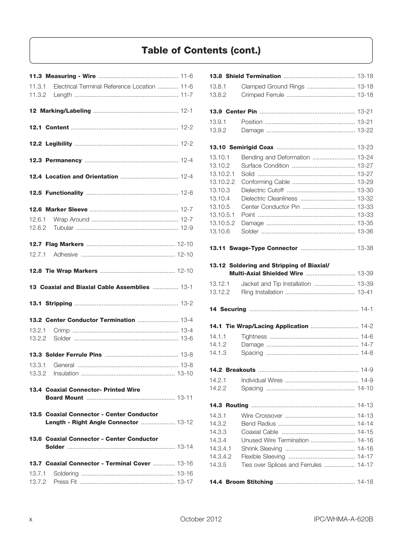|        | 11.3.1 Electrical Terminal Reference Location  11-6                                |
|--------|------------------------------------------------------------------------------------|
|        |                                                                                    |
|        |                                                                                    |
|        |                                                                                    |
|        |                                                                                    |
|        |                                                                                    |
|        |                                                                                    |
|        |                                                                                    |
|        |                                                                                    |
|        |                                                                                    |
|        |                                                                                    |
|        |                                                                                    |
|        |                                                                                    |
|        |                                                                                    |
|        |                                                                                    |
|        |                                                                                    |
|        |                                                                                    |
|        | 13 Coaxial and Biaxial Cable Assemblies  13-1                                      |
|        |                                                                                    |
|        | 13.2 Center Conductor Termination  13-4                                            |
|        |                                                                                    |
|        |                                                                                    |
|        |                                                                                    |
|        |                                                                                    |
| 13.3.1 |                                                                                    |
|        |                                                                                    |
|        | <b>13.4 Coaxial Connector- Printed Wire</b>                                        |
|        |                                                                                    |
|        | 13.5 Coaxial Connector - Center Conductor<br>Length - Right Angle Connector  13-12 |
|        | 13.6 Coaxial Connector - Center Conductor                                          |
|        |                                                                                    |
|        | 13.7 Coaxial Connector - Terminal Cover  13-16                                     |
| 13.7.1 |                                                                                    |

| 13.8.1             | Clamped Ground Rings  13-18                                                          |  |
|--------------------|--------------------------------------------------------------------------------------|--|
| 13.8.2             |                                                                                      |  |
|                    |                                                                                      |  |
|                    |                                                                                      |  |
| 13.9.1             |                                                                                      |  |
| 13.9.2             |                                                                                      |  |
|                    |                                                                                      |  |
|                    |                                                                                      |  |
| 13.10.1<br>13.10.2 | Bending and Deformation  13-24                                                       |  |
| 13.10.2.1          |                                                                                      |  |
| 13.10.2.2          |                                                                                      |  |
| 13.10.3            |                                                                                      |  |
| 13.10.4            | Dielectric Cleanliness  13-32                                                        |  |
| 13.10.5            |                                                                                      |  |
| 13.10.5.1          |                                                                                      |  |
| 13.10.5.2          |                                                                                      |  |
| 13.10.6            |                                                                                      |  |
|                    |                                                                                      |  |
|                    | 13.11 Swage-Type Connector  13-38                                                    |  |
|                    |                                                                                      |  |
|                    | 13.12 Soldering and Stripping of Biaxial/<br><b>Multi-Axial Shielded Wire  13-39</b> |  |
|                    |                                                                                      |  |
| 13.12.1            | Jacket and Tip Installation  13-39                                                   |  |
| 13.12.2            |                                                                                      |  |
|                    |                                                                                      |  |
|                    |                                                                                      |  |
|                    | 14.1 Tie Wrap/Lacing Application  14-2                                               |  |
| 14.1.1             |                                                                                      |  |
| 14.1.2             |                                                                                      |  |
| 14.1.3             |                                                                                      |  |
|                    |                                                                                      |  |
|                    |                                                                                      |  |
| 14.2.1             |                                                                                      |  |
| 14.2.2             |                                                                                      |  |
|                    |                                                                                      |  |
| 14.3.1             |                                                                                      |  |
| 14.3.2             |                                                                                      |  |
| 14.3.3             |                                                                                      |  |
| 14.3.4             | Unused Wire Termination  14-16                                                       |  |
| 14.3.4.1           |                                                                                      |  |
| 14.3.4.2           |                                                                                      |  |
| 14.3.5             | Ties over Splices and Ferrules  14-17                                                |  |
|                    |                                                                                      |  |
|                    |                                                                                      |  |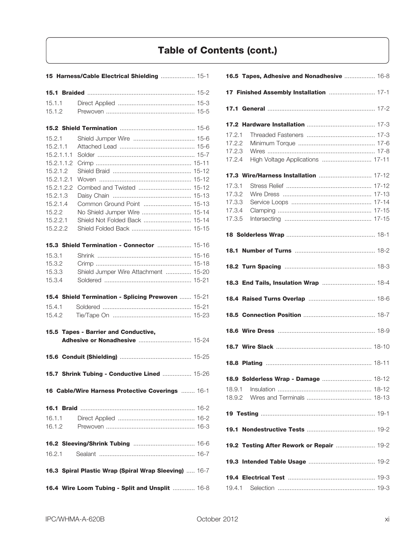|            | 15 Harness/Cable Electrical Shielding  15-1           |  |
|------------|-------------------------------------------------------|--|
|            |                                                       |  |
| 15.1.1     |                                                       |  |
| 15.1.2     |                                                       |  |
|            |                                                       |  |
|            |                                                       |  |
| 15.2.1     |                                                       |  |
| 15.2.1.1   |                                                       |  |
| 15.2.1.1.1 |                                                       |  |
| 15.2.1.1.2 |                                                       |  |
| 15.2.1.2   |                                                       |  |
| 15.2.1.2.1 |                                                       |  |
| 15.2.1.2.2 |                                                       |  |
| 15.2.1.3   |                                                       |  |
| 15.2.1.4   | Common Ground Point  15-13                            |  |
|            |                                                       |  |
| 15.2.2     | No Shield Jumper Wire  15-14                          |  |
| 15.2.2.1   | Shield Not Folded Back  15-14                         |  |
| 15.2.2.2   |                                                       |  |
|            | 15.3 Shield Termination - Connector  15-16            |  |
| 15.3.1     |                                                       |  |
| 15.3.2     |                                                       |  |
| 15.3.3     | Shield Jumper Wire Attachment  15-20                  |  |
| 15.3.4     |                                                       |  |
|            | 15.4 Shield Termination - Splicing Prewoven  15-21    |  |
| 15.4.1     |                                                       |  |
| 15.4.2     |                                                       |  |
|            |                                                       |  |
|            | 15.5 Tapes - Barrier and Conductive,                  |  |
|            |                                                       |  |
|            |                                                       |  |
|            | 15.7 Shrink Tubing - Conductive Lined  15-26          |  |
|            |                                                       |  |
|            | 16 Cable/Wire Harness Protective Coverings  16-1      |  |
|            |                                                       |  |
| 16.1.1     |                                                       |  |
| 16.1.2     |                                                       |  |
|            |                                                       |  |
| 16.2.1     |                                                       |  |
|            | 16.3 Spiral Plastic Wrap (Spiral Wrap Sleeving)  16-7 |  |
|            | 16.4 Wire Loom Tubing - Split and Unsplit  16-8       |  |

|        | 16.5 Tapes, Adhesive and Nonadhesive  16-8 |
|--------|--------------------------------------------|
|        |                                            |
|        |                                            |
|        |                                            |
| 17.2.1 |                                            |
| 17.2.2 |                                            |
| 17.2.3 |                                            |
| 17.2.4 | High Voltage Applications  17-11           |
|        | 17.3 Wire/Harness Installation  17-12      |
| 17.3.1 |                                            |
| 17.3.2 |                                            |
| 17.3.3 |                                            |
| 17.3.4 |                                            |
| 17.3.5 |                                            |
|        |                                            |
|        |                                            |
|        |                                            |
|        | 18.3 End Tails, Insulation Wrap  18-4      |
|        |                                            |
|        |                                            |
|        |                                            |
|        |                                            |
|        |                                            |
|        | 18.9 Solderless Wrap - Damage  18-12       |
| 18.9.1 |                                            |
| 18.9.2 |                                            |
|        |                                            |
|        |                                            |
|        | 19.2 Testing After Rework or Repair  19-2  |
|        |                                            |
|        |                                            |
|        |                                            |
| 19.4.1 |                                            |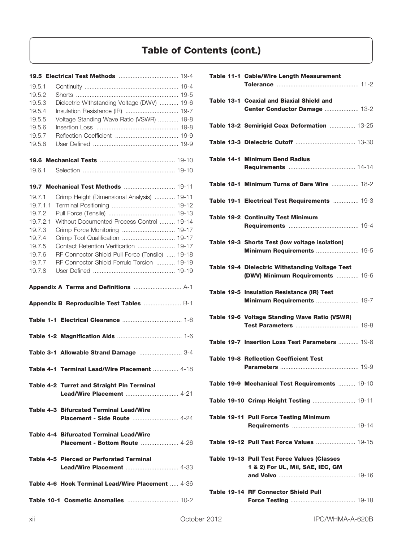| 19.5.1   |                                                          |
|----------|----------------------------------------------------------|
| 19.5.2   |                                                          |
| 19.5.3   | Dielectric Withstanding Voltage (DWV)  19-6              |
| 19.5.4   | Insulation Resistance (IR)  19-7                         |
| 19.5.5   | Voltage Standing Wave Ratio (VSWR)  19-8                 |
| 19.5.6   |                                                          |
| 19.5.7   |                                                          |
| 19.5.8   |                                                          |
|          |                                                          |
| 19.6.1   |                                                          |
|          | 19.7 Mechanical Test Methods  19-11                      |
| 19.7.1   | Crimp Height (Dimensional Analysis)  19-11               |
| 19.7.1.1 |                                                          |
| 19.7.2   |                                                          |
| 19.7.2.1 | Without Documented Process Control  19-14                |
| 19.7.3   |                                                          |
| 19.7.4   | Crimp Tool Qualification  19-17                          |
| 19.7.5   | Contact Retention Verification  19-17                    |
| 19.7.6   | RF Connector Shield Pull Force (Tensile)  19-18          |
| 19.7.7   | RF Connector Shield Ferrule Torsion  19-19               |
| 19.7.8   |                                                          |
|          |                                                          |
|          | Appendix B Reproducible Test Tables  B-1                 |
|          |                                                          |
|          |                                                          |
|          |                                                          |
|          | Table 3-1 Allowable Strand Damage  3-4                   |
|          | Table 4-1 Terminal Lead/Wire Placement  4-18             |
|          |                                                          |
|          | <b>Table 4-2 Turret and Straight Pin Terminal</b>        |
|          | <b>Table 4-3 Bifurcated Terminal Lead/Wire</b>           |
|          | <b>Table 4-4 Bifurcated Terminal Lead/Wire</b>           |
|          | <b>Table 4-5 Pierced or Perforated Terminal</b>          |
|          | <b>Table 4-6 Hook Terminal Lead/Wire Placement  4-36</b> |

| Table 11-1 Cable/Wire Length Measurement                                                   |
|--------------------------------------------------------------------------------------------|
| Table 13-1 Coaxial and Biaxial Shield and<br>Center Conductor Damage  13-2                 |
| Table 13-2 Semirigid Coax Deformation  13-25                                               |
|                                                                                            |
| <b>Table 14-1 Minimum Bend Radius</b>                                                      |
| Table 18-1 Minimum Turns of Bare Wire  18-2                                                |
| Table 19-1 Electrical Test Requirements  19-3                                              |
| <b>Table 19-2 Continuity Test Minimum</b>                                                  |
| Table 19-3 Shorts Test (low voltage isolation)                                             |
| Table 19-4 Dielectric Withstanding Voltage Test<br><b>(DWV) Minimum Requirements  19-6</b> |
| Table 19-5 Insulation Resistance (IR) Test<br>Minimum Requirements  19-7                   |
| Table 19-6 Voltage Standing Wave Ratio (VSWR)                                              |
| <b>Table 19-7 Insertion Loss Test Parameters  19-8</b>                                     |
| <b>Table 19-8 Reflection Coefficient Test</b>                                              |
| Table 19-9 Mechanical Test Requirements  19-10                                             |
| Table 19-10 Crimp Height Testing  19-11                                                    |
| <b>Table 19-11 Pull Force Testing Minimum</b>                                              |
| Table 19-12 Pull Test Force Values  19-15                                                  |
| <b>Table 19-13 Pull Test Force Values (Classes</b><br>1 & 2) For UL, Mil, SAE, IEC, GM     |
| Table 19-14 RF Connector Shield Pull                                                       |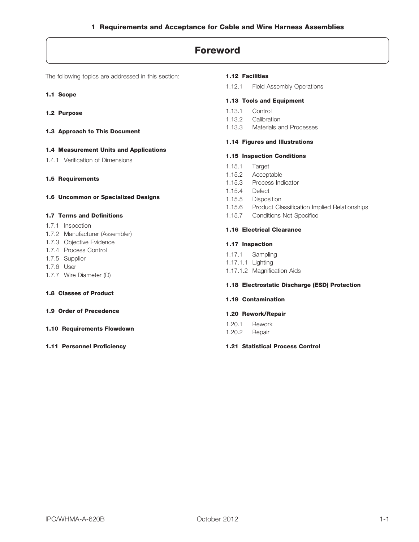### **Foreword**

The following topics are addressed in this section:

- **1.1 Scope**
- **1.2 Purpose**
- **1.3 Approach to This Document**

#### **1.4 Measurement Units and Applications**

- 1.4.1 Verification of Dimensions
- **1.5 Requirements**
- **1.6 Uncommon or Specialized Designs**

#### **1.7 Terms and Definitions**

- 1.7.1 Inspection
- 1.7.2 Manufacturer (Assembler)
- 1.7.3 Objective Evidence
- 1.7.4 Process Control
- 1.7.5 Supplier
- 1.7.6 User
- 1.7.7 Wire Diameter (D)

#### **1.8 Classes of Product**

- **1.9 Order of Precedence**
- **1.10 Requirements Flowdown**
- **1.11 Personnel Proficiency**

#### **1.12 Facilities**

1.12.1 Field Assembly Operations

#### **1.13 Tools and Equipment**

- 1.13.1 Control
- 1.13.2 Calibration
- 1.13.3 Materials and Processes

### **1.14 Figures and Illustrations 1.15 Inspection Conditions**

- 1.15.1 Target
- 1.15.2 Acceptable
- 1.15.3 Process Indicator
- 1.15.4 Defect
- 1.15.5 Disposition
- 1.15.6 Product Classification Implied Relationships
- 1.15.7 Conditions Not Specified

#### **1.16 Electrical Clearance**

#### **1.17 Inspection**

1.17.1 Sampling 1.17.1.1 Lighting 1.17.1.2 Magnification Aids

#### **1.18 Electrostatic Discharge (ESD) Protection**

#### **1.19 Contamination**

#### **1.20 Rework/Repair**

1.20.1 Rework 1.20.2 Repair

#### **1.21 Statistical Process Control**